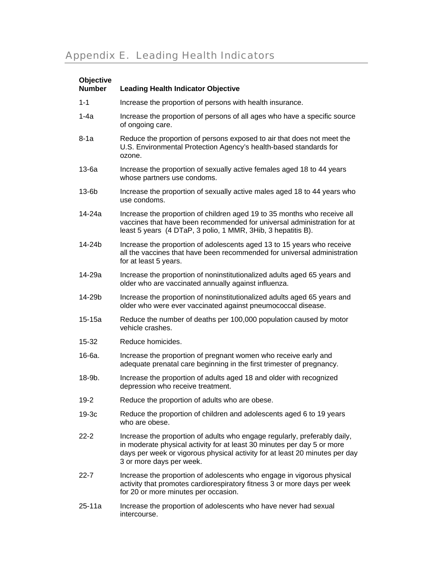## Appendix E. Leading Health Indicators

| Objective<br><b>Number</b> | <b>Leading Health Indicator Objective</b>                                                                                                                                                                                                                       |
|----------------------------|-----------------------------------------------------------------------------------------------------------------------------------------------------------------------------------------------------------------------------------------------------------------|
|                            |                                                                                                                                                                                                                                                                 |
| $1 - 1$                    | Increase the proportion of persons with health insurance.                                                                                                                                                                                                       |
| $1-4a$                     | Increase the proportion of persons of all ages who have a specific source<br>of ongoing care.                                                                                                                                                                   |
| $8-1a$                     | Reduce the proportion of persons exposed to air that does not meet the<br>U.S. Environmental Protection Agency's health-based standards for<br>ozone.                                                                                                           |
| 13-6a                      | Increase the proportion of sexually active females aged 18 to 44 years<br>whose partners use condoms.                                                                                                                                                           |
| $13-6b$                    | Increase the proportion of sexually active males aged 18 to 44 years who<br>use condoms.                                                                                                                                                                        |
| 14-24a                     | Increase the proportion of children aged 19 to 35 months who receive all<br>vaccines that have been recommended for universal administration for at<br>least 5 years (4 DTaP, 3 polio, 1 MMR, 3Hib, 3 hepatitis B).                                             |
| 14-24b                     | Increase the proportion of adolescents aged 13 to 15 years who receive<br>all the vaccines that have been recommended for universal administration<br>for at least 5 years.                                                                                     |
| 14-29a                     | Increase the proportion of noninstitutionalized adults aged 65 years and<br>older who are vaccinated annually against influenza.                                                                                                                                |
| 14-29b                     | Increase the proportion of noninstitutionalized adults aged 65 years and<br>older who were ever vaccinated against pneumococcal disease.                                                                                                                        |
| $15-15a$                   | Reduce the number of deaths per 100,000 population caused by motor<br>vehicle crashes.                                                                                                                                                                          |
| 15-32                      | Reduce homicides.                                                                                                                                                                                                                                               |
| 16-6a.                     | Increase the proportion of pregnant women who receive early and<br>adequate prenatal care beginning in the first trimester of pregnancy.                                                                                                                        |
| 18-9b.                     | Increase the proportion of adults aged 18 and older with recognized<br>depression who receive treatment.                                                                                                                                                        |
| $19 - 2$                   | Reduce the proportion of adults who are obese.                                                                                                                                                                                                                  |
| $19-3c$                    | Reduce the proportion of children and adolescents aged 6 to 19 years<br>who are obese.                                                                                                                                                                          |
| $22 - 2$                   | Increase the proportion of adults who engage regularly, preferably daily,<br>in moderate physical activity for at least 30 minutes per day 5 or more<br>days per week or vigorous physical activity for at least 20 minutes per day<br>3 or more days per week. |
| $22 - 7$                   | Increase the proportion of adolescents who engage in vigorous physical<br>activity that promotes cardiorespiratory fitness 3 or more days per week<br>for 20 or more minutes per occasion.                                                                      |
| $25 - 11a$                 | Increase the proportion of adolescents who have never had sexual<br>intercourse.                                                                                                                                                                                |